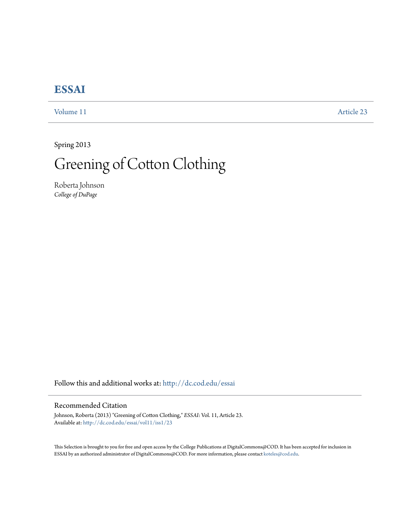## **[ESSAI](http://dc.cod.edu/essai?utm_source=dc.cod.edu%2Fessai%2Fvol11%2Fiss1%2F23&utm_medium=PDF&utm_campaign=PDFCoverPages)**

[Volume 11](http://dc.cod.edu/essai/vol11?utm_source=dc.cod.edu%2Fessai%2Fvol11%2Fiss1%2F23&utm_medium=PDF&utm_campaign=PDFCoverPages) [Article 23](http://dc.cod.edu/essai/vol11/iss1/23?utm_source=dc.cod.edu%2Fessai%2Fvol11%2Fiss1%2F23&utm_medium=PDF&utm_campaign=PDFCoverPages)

Spring 2013

## Greening of Cotton Clothing

Roberta Johnson *College of DuPage*

Follow this and additional works at: [http://dc.cod.edu/essai](http://dc.cod.edu/essai?utm_source=dc.cod.edu%2Fessai%2Fvol11%2Fiss1%2F23&utm_medium=PDF&utm_campaign=PDFCoverPages)

## Recommended Citation

Johnson, Roberta (2013) "Greening of Cotton Clothing," *ESSAI*: Vol. 11, Article 23. Available at: [http://dc.cod.edu/essai/vol11/iss1/23](http://dc.cod.edu/essai/vol11/iss1/23?utm_source=dc.cod.edu%2Fessai%2Fvol11%2Fiss1%2F23&utm_medium=PDF&utm_campaign=PDFCoverPages)

This Selection is brought to you for free and open access by the College Publications at DigitalCommons@COD. It has been accepted for inclusion in ESSAI by an authorized administrator of DigitalCommons@COD. For more information, please contact [koteles@cod.edu](mailto:koteles@cod.edu).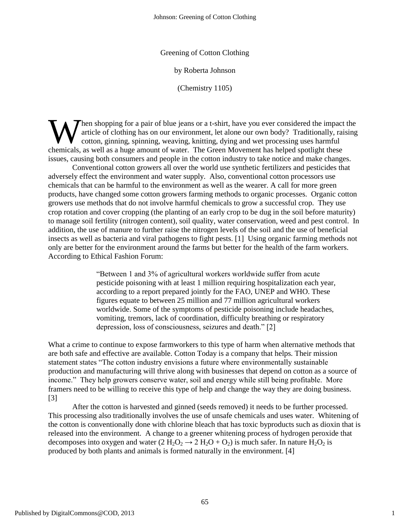Greening of Cotton Clothing

by Roberta Johnson

(Chemistry 1105)

hen shopping for a pair of blue jeans or a t-shirt, have you ever considered the impact the article of clothing has on our environment, let alone our own body? Traditionally, raising cotton, ginning, spinning, weaving, knitting, dying and wet processing uses harmful When shopping for a pair of blue jeans or a t-shirt, have you ever considered the impact article of clothing has on our environment, let alone our own body? Traditionally, raintionally, raintionally, incorrection, ginning, issues, causing both consumers and people in the cotton industry to take notice and make changes.

Conventional cotton growers all over the world use synthetic fertilizers and pesticides that adversely effect the environment and water supply. Also, conventional cotton processors use chemicals that can be harmful to the environment as well as the wearer. A call for more green products, have changed some cotton growers farming methods to organic processes. Organic cotton growers use methods that do not involve harmful chemicals to grow a successful crop. They use crop rotation and cover cropping (the planting of an early crop to be dug in the soil before maturity) to manage soil fertility (nitrogen content), soil quality, water conservation, weed and pest control. In addition, the use of manure to further raise the nitrogen levels of the soil and the use of beneficial insects as well as bacteria and viral pathogens to fight pests. [1] Using organic farming methods not only are better for the environment around the farms but better for the health of the farm workers. According to Ethical Fashion Forum:

> ―Between 1 and 3% of agricultural workers worldwide suffer from acute pesticide poisoning with at least 1 million requiring hospitalization each year, according to a report prepared jointly for the FAO, UNEP and WHO. These figures equate to between 25 million and 77 million agricultural workers worldwide. Some of the symptoms of pesticide poisoning include headaches, vomiting, tremors, lack of coordination, difficulty breathing or respiratory depression, loss of consciousness, seizures and death." [2]

What a crime to continue to expose farmworkers to this type of harm when alternative methods that are both safe and effective are available. Cotton Today is a company that helps. Their mission statement states "The cotton industry envisions a future where environmentally sustainable production and manufacturing will thrive along with businesses that depend on cotton as a source of income." They help growers conserve water, soil and energy while still being profitable. More framers need to be willing to receive this type of help and change the way they are doing business. [3]

After the cotton is harvested and ginned (seeds removed) it needs to be further processed. This processing also traditionally involves the use of unsafe chemicals and uses water. Whitening of the cotton is conventionally done with chlorine bleach that has toxic byproducts such as dioxin that is released into the environment. A change to a greener whitening process of hydrogen peroxide that decomposes into oxygen and water (2 H<sub>2</sub>O<sub>2</sub>  $\rightarrow$  2 H<sub>2</sub>O + O<sub>2</sub>) is much safer. In nature H<sub>2</sub>O<sub>2</sub> is produced by both plants and animals is formed naturally in the environment. [4]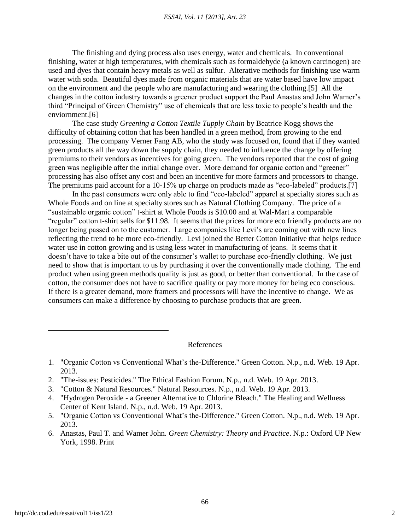The finishing and dying process also uses energy, water and chemicals. In conventional finishing, water at high temperatures, with chemicals such as formaldehyde (a known carcinogen) are used and dyes that contain heavy metals as well as sulfur. Alterative methods for finishing use warm water with soda. Beautiful dyes made from organic materials that are water based have low impact on the environment and the people who are manufacturing and wearing the clothing.[5] All the changes in the cotton industry towards a greener product support the Paul Anastas and John Wamer's third "Principal of Green Chemistry" use of chemicals that are less toxic to people's health and the enviornment.[6]

The case study *Greening a Cotton Textile Tupply Chain* by Beatrice Kogg shows the difficulty of obtaining cotton that has been handled in a green method, from growing to the end processing. The company Verner Fang AB, who the study was focused on, found that if they wanted green products all the way down the supply chain, they needed to influence the change by offering premiums to their vendors as incentives for going green. The vendors reported that the cost of going green was negligible after the initial change over. More demand for organic cotton and "greener" processing has also offset any cost and been an incentive for more farmers and processors to change. The premiums paid account for a 10-15% up charge on products made as "eco-labeled" products.[7]

In the past consumers were only able to find "eco-labeled" apparel at specialty stores such as Whole Foods and on line at specialty stores such as Natural Clothing Company. The price of a ―sustainable organic cotton‖ t-shirt at Whole Foods is \$10.00 and at Wal-Mart a comparable "regular" cotton t-shirt sells for \$11.98. It seems that the prices for more eco friendly products are no longer being passed on to the customer. Large companies like Levi's are coming out with new lines reflecting the trend to be more eco-friendly. Levi joined the Better Cotton Initiative that helps reduce water use in cotton growing and is using less water in manufacturing of jeans. It seems that it doesn't have to take a bite out of the consumer's wallet to purchase eco-friendly clothing. We just need to show that is important to us by purchasing it over the conventionally made clothing. The end product when using green methods quality is just as good, or better than conventional. In the case of cotton, the consumer does not have to sacrifice quality or pay more money for being eco conscious. If there is a greater demand, more framers and processors will have the incentive to change. We as consumers can make a difference by choosing to purchase products that are green.

References

- 1. "Organic Cotton vs Conventional What's the-Difference." Green Cotton. N.p., n.d. Web. 19 Apr. 2013.
- 2. "The-issues: Pesticides." The Ethical Fashion Forum. N.p., n.d. Web. 19 Apr. 2013.
- 3. "Cotton & Natural Resources." Natural Resources. N.p., n.d. Web. 19 Apr. 2013.
- 4. "Hydrogen Peroxide a Greener Alternative to Chlorine Bleach." The Healing and Wellness Center of Kent Island. N.p., n.d. Web. 19 Apr. 2013.
- 5. "Organic Cotton vs Conventional What's the-Difference." Green Cotton. N.p., n.d. Web. 19 Apr. 2013.
- 6. Anastas, Paul T. and Wamer John. *Green Chemistry: Theory and Practice*. N.p.: Oxford UP New York, 1998. Print